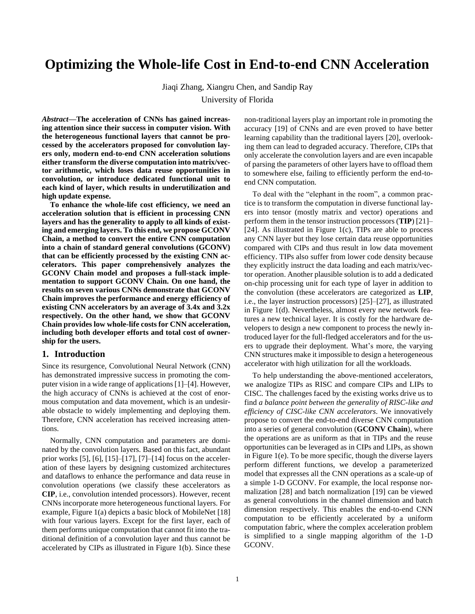# **Optimizing the Whole-life Cost in End-to-end CNN Acceleration**

Jiaqi Zhang, Xiangru Chen, and Sandip Ray

University of Florida

*Abstract***—The acceleration of CNNs has gained increasing attention since their success in computer vision. With the heterogeneous functional layers that cannot be processed by the accelerators proposed for convolution layers only, modern end-to-end CNN acceleration solutions either transform the diverse computation into matrix/vector arithmetic, which loses data reuse opportunities in convolution, or introduce dedicated functional unit to each kind of layer, which results in underutilization and high update expense.**

**To enhance the whole-life cost efficiency, we need an acceleration solution that is efficient in processing CNN layers and has the generality to apply to all kinds of existing and emerging layers. To this end, we propose GCONV Chain, a method to convert the entire CNN computation into a chain of standard general convolutions (GCONV) that can be efficiently processed by the existing CNN accelerators. This paper comprehensively analyzes the GCONV Chain model and proposes a full-stack implementation to support GCONV Chain. On one hand, the results on seven various CNNs demonstrate that GCONV Chain improves the performance and energy efficiency of existing CNN accelerators by an average of 3.4x and 3.2x respectively. On the other hand, we show that GCONV Chain provides low whole-life costs for CNN acceleration, including both developer efforts and total cost of ownership for the users.**

## **1. Introduction**

Since its resurgence, Convolutional Neural Network (CNN) has demonstrated impressive success in promoting the computer vision in a wide range of applications [1]–[4]. However, the high accuracy of CNNs is achieved at the cost of enormous computation and data movement, which is an undesirable obstacle to widely implementing and deploying them. Therefore, CNN acceleration has received increasing attentions.

Normally, CNN computation and parameters are dominated by the convolution layers. Based on this fact, abundant prior works [5], [6], [15]–[17], [7]–[14] focus on the acceleration of these layers by designing customized architectures and dataflows to enhance the performance and data reuse in convolution operations (we classify these accelerators as **CIP**, i.e., convolution intended processors). However, recent CNNs incorporate more heterogeneous functional layers. For example, Figure 1(a) depicts a basic block of MobileNet [18] with four various layers. Except for the first layer, each of them performs unique computation that cannot fit into the traditional definition of a convolution layer and thus cannot be accelerated by CIPs as illustrated in Figure 1(b). Since these non-traditional layers play an important role in promoting the accuracy [19] of CNNs and are even proved to have better learning capability than the traditional layers [20], overlooking them can lead to degraded accuracy. Therefore, CIPs that only accelerate the convolution layers and are even incapable of parsing the parameters of other layers have to offload them to somewhere else, failing to efficiently perform the end-toend CNN computation.

To deal with the "elephant in the room", a common practice is to transform the computation in diverse functional layers into tensor (mostly matrix and vector) operations and perform them in the tensor instruction processors (**TIP**) [21]– [24]. As illustrated in Figure 1(c), TIPs are able to process any CNN layer but they lose certain data reuse opportunities compared with CIPs and thus result in low data movement efficiency. TIPs also suffer from lower code density because they explicitly instruct the data loading and each matrix/vector operation. Another plausible solution is to add a dedicated on-chip processing unit for each type of layer in addition to the convolution (these accelerators are categorized as **LIP**, i.e., the layer instruction processors) [25]–[27], as illustrated in Figure 1(d). Nevertheless, almost every new network features a new technical layer. It is costly for the hardware developers to design a new component to process the newly introduced layer for the full-fledged accelerators and for the users to upgrade their deployment. What's more, the varying CNN structures make it impossible to design a heterogeneous accelerator with high utilization for all the workloads.

To help understanding the above-mentioned accelerators, we analogize TIPs as RISC and compare CIPs and LIPs to CISC. The challenges faced by the existing works drive us to find *a balance point between the generality of RISC-like and efficiency of CISC-like CNN accelerators*. We innovatively propose to convert the end-to-end diverse CNN computation into a series of general convolution (**GCONV Chain**), where the operations are as uniform as that in TIPs and the reuse opportunities can be leveraged as in CIPs and LIPs, as shown in Figure 1(e). To be more specific, though the diverse layers perform different functions, we develop a parameterized model that expresses all the CNN operations as a scale-up of a simple 1-D GCONV. For example, the local response normalization [28] and batch normalization [19] can be viewed as general convolutions in the channel dimension and batch dimension respectively. This enables the end-to-end CNN computation to be efficiently accelerated by a uniform computation fabric, where the complex acceleration problem is simplified to a single mapping algorithm of the 1-D GCONV.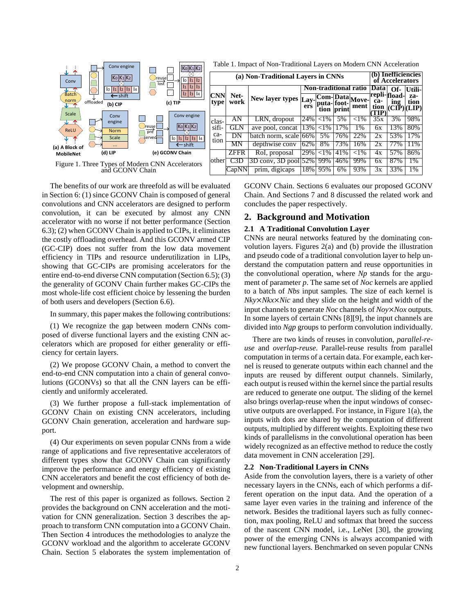

The benefits of our work are threefold as will be evaluated in Section 6: (1) since GCONV Chain is composed of general convolutions and CNN accelerators are designed to perform convolution, it can be executed by almost any CNN accelerator with no worse if not better performance (Section 6.3); (2) when GCONV Chain is applied to CIPs, it eliminates the costly offloading overhead. And this GCONV armed CIP (GC-CIP) does not suffer from the low data movement efficiency in TIPs and resource underutilization in LIPs, showing that GC-CIPs are promising accelerators for the entire end-to-end diverse CNN computation (Section 6.5); (3) the generality of GCONV Chain further makes GC-CIPs the most whole-life cost efficient choice by lessening the burden of both users and developers (Section 6.6).

In summary, this paper makes the following contributions:

(1) We recognize the gap between modern CNNs composed of diverse functional layers and the existing CNN accelerators which are proposed for either generality or efficiency for certain layers.

(2) We propose GCONV Chain, a method to convert the end-to-end CNN computation into a chain of general convolutions (GCONVs) so that all the CNN layers can be efficiently and uniformly accelerated.

(3) We further propose a full-stack implementation of GCONV Chain on existing CNN accelerators, including GCONV Chain generation, acceleration and hardware support.

(4) Our experiments on seven popular CNNs from a wide range of applications and five representative accelerators of different types show that GCONV Chain can significantly improve the performance and energy efficiency of existing CNN accelerators and benefit the cost efficiency of both development and ownership.

The rest of this paper is organized as follows. Section 2 provides the background on CNN acceleration and the motivation for CNN generalization. Section 3 describes the approach to transform CNN computation into a GCONV Chain. Then Section 4 introduces the methodologies to analyze the GCONV workload and the algorithm to accelerate GCONV Chain. Section 5 elaborates the system implementation of GCONV Chain. Sections 6 evaluates our proposed GCONV Chain. And Sections 7 and 8 discussed the related work and concludes the paper respectively.

# **2. Background and Motivation**

#### **2.1 A Traditional Convolution Layer**

CNNs are neural networks featured by the dominating convolution layers. Figures 2(a) and (b) provide the illustration and pseudo code of a traditional convolution layer to help understand the computation pattern and reuse opportunities in the convolutional operation, where *Np* stands for the argument of parameter *p*. The same set of *Noc* kernels are applied to a batch of *Nbs* input samples. The size of each kernel is *Nky*×*Nkx*×*Nic* and they slide on the height and width of the input channels to generate *Noc* channels of *Noy×Nox* outputs. In some layers of certain CNNs [8][9], the input channels are divided into *Ngp* groups to perform convolution individually.

There are two kinds of reuses in convolution, *parallel-reuse* and *overlap-reuse*. Parallel-reuse results from parallel computation in terms of a certain data. For example, each kernel is reused to generate outputs within each channel and the inputs are reused by different output channels. Similarly, each output is reused within the kernel since the partial results are reduced to generate one output. The sliding of the kernel also brings overlap-reuse when the input windows of consecutive outputs are overlapped. For instance, in Figure 1(a), the inputs with dots are shared by the computation of different outputs, multiplied by different weights. Exploiting these two kinds of parallelisms in the convolutional operation has been widely recognized as an effective method to reduce the costly data movement in CNN acceleration [29].

#### **2.2 Non-Traditional Layers in CNNs**

Aside from the convolution layers, there is a variety of other necessary layers in the CNNs, each of which performs a different operation on the input data. And the operation of a same layer even varies in the training and inference of the network. Besides the traditional layers such as fully connection, max pooling, ReLU and softmax that breed the success of the nascent CNN model, i.e., LeNet [30], the growing power of the emerging CNNs is always accompanied with new functional layers. Benchmarked on seven popular CNNs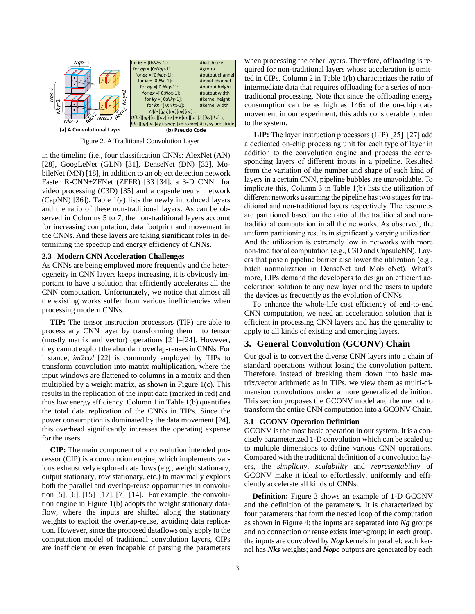

Figure 2. A Traditional Convolution Layer

in the timeline (i.e., four classification CNNs: AlexNet (AN) [28], GoogLeNet (GLN) [31], DenseNet (DN) [32], MobileNet (MN) [18], in addition to an object detection network Faster R-CNN+ZFNet (ZFFR) [33][34], a 3-D CNN for video processing (C3D) [35] and a capsule neural network (CapNN) [36]), Table 1(a) lists the newly introduced layers and the ratio of these non-traditional layers. As can be observed in Columns 5 to 7, the non-traditional layers account for increasing computation, data footprint and movement in the CNNs. And these layers are taking significant roles in determining the speedup and energy efficiency of CNNs.

#### **2.3 Modern CNN Acceleration Challenges**

As CNNs are being employed more frequently and the heterogeneity in CNN layers keeps increasing, it is obviously important to have a solution that efficiently accelerates all the CNN computation. Unfortunately, we notice that almost all the existing works suffer from various inefficiencies when processing modern CNNs.

**TIP:** The tensor instruction processors (TIP) are able to process any CNN layer by transforming them into tensor (mostly matrix and vector) operations [21]–[24]. However, they cannot exploit the abundant overlap-reuses in CNNs. For instance, *im2col* [22] is commonly employed by TIPs to transform convolution into matrix multiplication, where the input windows are flattened to columns in a matrix and then multiplied by a weight matrix, as shown in Figure 1(c). This results in the replication of the input data (marked in red) and thus low energy efficiency. Column 1 in Table 1(b) quantifies the total data replication of the CNNs in TIPs. Since the power consumption is dominated by the data movement [24], this overhead significantly increases the operating expense for the users.

**CIP:** The main component of a convolution intended processor (CIP) is a convolution engine, which implements various exhaustively explored dataflows (e.g., weight stationary, output stationary, row stationary, etc.) to maximally exploits both the parallel and overlap-reuse opportunities in convolution [5], [6], [15]–[17], [7]–[14]. For example, the convolution engine in Figure 1(b) adopts the weight stationary dataflow, where the inputs are shifted along the stationary weights to exploit the overlap-reuse, avoiding data replication. However, since the proposed dataflows only apply to the computation model of traditional convolution layers, CIPs are inefficient or even incapable of parsing the parameters

when processing the other layers. Therefore, offloading is required for non-traditional layers whose acceleration is omitted in CIPs. Column 2 in Table 1(b) characterizes the ratio of intermediate data that requires offloading for a series of nontraditional processing. Note that since the offloading energy consumption can be as high as 146x of the on-chip data movement in our experiment, this adds considerable burden to the system.

**LIP:** The layer instruction processors (LIP) [25]–[27] add a dedicated on-chip processing unit for each type of layer in addition to the convolution engine and process the corresponding layers of different inputs in a pipeline. Resulted from the variation of the number and shape of each kind of layers in a certain CNN, pipeline bubbles are unavoidable. To implicate this, Column 3 in Table 1(b) lists the utilization of different networks assuming the pipeline has two stages for traditional and non-traditional layers respectively. The resources are partitioned based on the ratio of the traditional and nontraditional computation in all the networks. As observed, the uniform partitioning results in significantly varying utilization. And the utilization is extremely low in networks with more non-traditional computation (e.g., C3D and CapsuleNN). Layers that pose a pipeline barrier also lower the utilization (e.g., batch normalization in DenseNet and MobileNet). What's more, LIPs demand the developers to design an efficient acceleration solution to any new layer and the users to update the devices as frequently as the evolution of CNNs. **EVALUATION EVALUATION EVALUATION CONSULTATION EVALUATION EVALUATION EVALUATION EVALUATION EVALUATION EVALUATION EVALUATION EVALUATION EVALUATION EVALUATION EVALUATION EVALUATION EVALUATIO** 

To enhance the whole-life cost efficiency of end-to-end CNN computation, we need an acceleration solution that is efficient in processing CNN layers and has the generality to apply to all kinds of existing and emerging layers.

# **3. General Convolution (GCONV) Chain**

Our goal is to convert the diverse CNN layers into a chain of standard operations without losing the convolution pattern. Therefore, instead of breaking them down into basic matrix/vector arithmetic as in TIPs, we view them as multi-dimension convolutions under a more generalized definition. This section proposes the GCONV model and the method to transform the entire CNN computation into a GCONV Chain.

## **3.1 GCONV Operation Definition**

GCONV is the most basic operation in our system. It is a concisely parameterized 1-D convolution which can be scaled up to multiple dimensions to define various CNN operations. Compared with the traditional definition of a convolution layers, the *simplicity*, *scalability* and *representability* of GCONV make it ideal to effortlessly, uniformly and efficiently accelerate all kinds of CNNs.

**Definition:** Figure 3 shows an example of 1-D GCONV and the definition of the parameters. It is characterized by four parameters that form the nested loop of the computation as shown in Figure 4: the inputs are separated into *Ng* groups and no connection or reuse exists inter-group; in each group, the inputs are convolved by *Nop* kernels in parallel; each ker-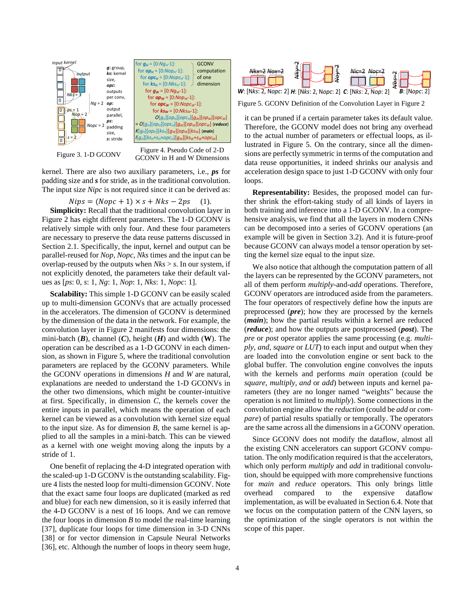



GCONV in H and W Dimensions

kernel. There are also two auxiliary parameters, i.e., *ps* for padding size and *s* for stride, as in the traditional convolution. The input size *Nipc* is not required since it can be derived as:

$$
Nips = (Nope + 1) \times s + Nks - 2ps \quad (1).
$$

**Simplicity:** Recall that the traditional convolution layer in Figure 2 has eight different parameters. The 1-D GCONV is relatively simple with only four. And these four parameters are necessary to preserve the data reuse patterns discussed in Section 2.1. Specifically, the input, kernel and output can be parallel-reused for *Nop*, *Nopc*, *Nks* times and the input can be overlap-reused by the outputs when *Nks* > *s*. In our system, if not explicitly denoted, the parameters take their default values as [*ps*: 0, *s*: 1, *Ng*: 1, *Nop*: 1, *Nks*: 1, *Nopc*: 1].

**Scalability:** This simple 1-D GCONV can be easily scaled up to multi-dimension GCONVs that are actually processed in the accelerators. The dimension of GCONV is determined by the dimension of the data in the network. For example, the convolution layer in Figure 2 manifests four dimensions: the mini-batch (*B*), channel (*C*), height (*H*) and width (**W**). The operation can be described as a 1-D GCONV in each dimension, as shown in Figure 5, where the traditional convolution parameters are replaced by the GCONV parameters. While the GCONV operations in dimensions *H* and *W* are natural, explanations are needed to understand the 1-D GCONVs in the other two dimensions, which might be counter-intuitive at first. Specifically, in dimension *C*, the kernels cover the entire inputs in parallel, which means the operation of each kernel can be viewed as a convolution with kernel size equal to the input size. As for dimension *B*, the same kernel is applied to all the samples in a mini-batch. This can be viewed as a kernel with one weight moving along the inputs by a stride of 1.

One benefit of replacing the 4-D integrated operation with the scaled-up 1-D GCONV is the outstanding scalability. Figure 4 lists the nested loop for multi-dimension GCONV. Note that the exact same four loops are duplicated (marked as red and blue) for each new dimension, so it is easily inferred that the 4-D GCONV is a nest of 16 loops. And we can remove the four loops in dimension *B* to model the real-time learning [37], duplicate four loops for time dimension in 3-D CNNs [38] or for vector dimension in Capsule Neural Networks [36], etc. Although the number of loops in theory seem huge,



Figure 5. GCONV Definition of the Convolution Layer in Figure 2

it can be pruned if a certain parameter takes its default value. Therefore, the GCONV model does not bring any overhead to the actual number of parameters or effectual loops, as illustrated in Figure 5. On the contrary, since all the dimensions are perfectly symmetric in terms of the computation and data reuse opportunities, it indeed shrinks our analysis and acceleration design space to just 1-D GCONV with only four loops.

**Representability:** Besides, the proposed model can further shrink the effort-taking study of all kinds of layers in both training and inference into a 1-D GCONV. In a comprehensive analysis, we find that all the layers in modern CNNs can be decomposed into a series of GCONV operations (an example will be given in Section 3.2). And it is future-proof because GCONV can always model a tensor operation by setting the kernel size equal to the input size.

We also notice that although the computation pattern of all the layers can be represented by the GCONV parameters, not all of them perform *multiply*-and-*add* operations. Therefore, GCONV operators are introduced aside from the parameters. The four operators of respectively define how the inputs are preprocessed (*pre*); how they are processed by the kernels (*main*); how the partial results within a kernel are reduced (*reduce*); and how the outputs are postprocessed (*post*). The *pre* or *post* operator applies the same processing (e.g. *multiply, and, square* or *LUT*) to each input and output when they are loaded into the convolution engine or sent back to the global buffer. The convolution engine convolves the inputs with the kernels and performs *main* operation (could be *square*, *multiply, and* or *add*) between inputs and kernel parameters (they are no longer named "weights" because the operation is not limited to *multiply*). Some connections in the convolution engine allow the *reduction* (could be *add* or *compare*) of partial results spatially or temporally. The operators are the same across all the dimensions in a GCONV operation.

Since GCONV does not modify the dataflow, almost all the existing CNN accelerators can support GCONV computation. The only modification required is that the accelerators, which only perform *multiply* and *add* in traditional convolution, should be equipped with more comprehensive functions for *main* and *reduce* operators. This only brings little overhead compared to the expensive dataflow implementation, as will be evaluated in Section 6.4. Note that we focus on the computation pattern of the CNN layers, so the optimization of the single operators is not within the scope of this paper.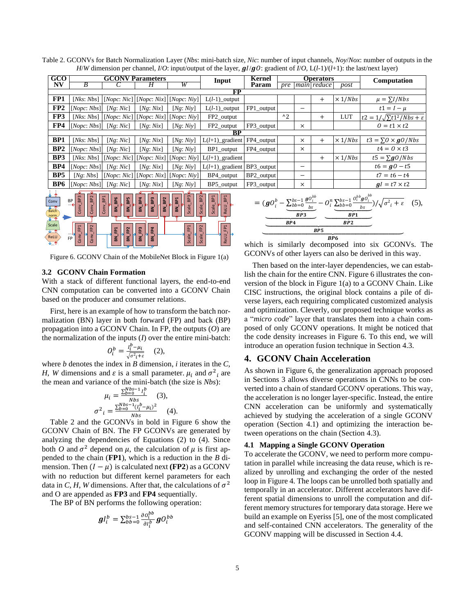Table 2. GCONVs for Batch Normalization Layer (*Nbs*: mini-batch size, *Nic*: number of input channels, *Noy*/*Nox*: number of outputs in the *H*/*W* dimension per channel, *I*/*O*: input/output of the layer,  $gl/gO$ : gradient of *I*/*O*,  $L(l-1)/(l+1)$ : the last/next layer)

| GCO             | <b>GCONV Parameters</b>                 |           |                                           |           | Input                        | Kernel     | <b>Operators</b> |          |             | Computation    |                                             |
|-----------------|-----------------------------------------|-----------|-------------------------------------------|-----------|------------------------------|------------|------------------|----------|-------------|----------------|---------------------------------------------|
| NV              | B                                       |           | н                                         | W         |                              | Param      | pre              |          | main reduce | post           |                                             |
| FP              |                                         |           |                                           |           |                              |            |                  |          |             |                |                                             |
| FP1             | [Nks: Nbs]                              |           | $[Nopc: Nic]$ $[Nopc: Nix]$ $[Nopc: Niy]$ |           | $L(l-1)$ _output             |            |                  |          | $^{+}$      | $\times$ 1/Nbs | $\mu = \sum I / Nbs$                        |
| FP <sub>2</sub> | [None:Nbs]                              | [Ng: Nic] | [Ng: Nix]                                 | [Ng: Niy] | $L(l-1)$ _output             | FP1_output |                  | -        |             |                | $t1 = I - \mu$                              |
| FP3             | [Nks: Nbs]                              |           | $[None: Nic]$ $[None: Nix]$ $[None: Niy]$ |           | FP2_output                   |            | $^{\wedge}2$     |          | $\pm$       | <b>LUT</b>     | $t2 = 1/\sqrt{\sum t1^2/Nbs + \varepsilon}$ |
| FP4             | [None: Nbs]                             | [Ng: Nic] | [Ng: Nix]                                 | [Ng: Niy] | FP2_output                   | FP3 output |                  | $\times$ |             |                | $0 = t1 \times t2$                          |
| ВP              |                                         |           |                                           |           |                              |            |                  |          |             |                |                                             |
| BP <sub>1</sub> | [Nks: Nbs]                              | [Ng: Nic] | [Ng: Nix]                                 | [Ng: Niy] | $L(l+1)$ gradient            | FP4_output |                  | $\times$ | $^{+}$      | $\times$ 1/Nbs | $t3 = \Sigma Q \times \frac{gQ}{Nbs}$       |
| BP2             | [None:Nbs]                              | [Ng: Nic] | [Ng: Nix]                                 | [Ng: Niv] | BP1 output                   | FP4 output |                  | $\times$ |             |                | $t4 = 0 \times t3$                          |
| BP3             | [Nks: Nbs]                              |           | $[None: Nic]$ $[None: Nix]$ $[None: Niy]$ |           | $L(l+1)$ gradient            |            |                  |          | $^{+}$      | $\times$ 1/Nbs | $t5 = \sum_{q} Q/Nbs$                       |
| BP4             | [None:Nbs]                              | [Ng: Nic] | [Ng: Nix]                                 | [Ng: Niy] | $L(l+1)$ gradient BP3 output |            |                  | -        |             |                | $t6 = g0 - t5$                              |
| BP <sub>5</sub> | [Ng: Nbs]                               |           | $[None: Nic]$ $[None: Nix]$ $[None: Niy]$ |           | BP4_output                   | BP2_output |                  | -        |             |                | $t7 = t6 - t4$                              |
| BP <sub>6</sub> | [None:Nbs]                              | [Ng: Nic] | [Ng: Nix]                                 | [Ng: Niv] | BP5 output                   | FP3 output |                  | $\times$ |             |                | $gl = t7 \times t2$                         |
|                 | and the contract of the contract of the |           |                                           |           |                              |            |                  |          |             |                |                                             |



Figure 6. GCONV Chain of the MobileNet Block in Figure 1(a)

#### **3.2 GCONV Chain Formation**

With a stack of different functional layers, the end-to-end CNN computation can be converted into a GCONV Chain based on the producer and consumer relations.

First, here is an example of how to transform the batch normalization (BN) layer in both forward (FP) and back (BP) propagation into a GCONV Chain. In FP, the outputs (*O*) are the normalization of the inputs (*I*) over the entire mini-batch:

$$
O_i^b = \frac{I_i^b - \mu_i}{\sqrt{\sigma^2_i + \varepsilon}} \quad (2),
$$

where *b* denotes the index in *B* dimension, *i* iterates in the *C*, *H*, *W* dimensions and  $\varepsilon$  is a small parameter.  $\mu_i$  and  $\sigma^2_i$  are the mean and variance of the mini-batch (the size is *Nbs*):

$$
\mu_{i} = \frac{\sum_{b=0}^{Nb-1} I_{i}^{b}}{Nbs} \quad (3),
$$

$$
\sigma^{2}_{i} = \frac{\sum_{b=0}^{Nb-1} (I_{i}^{b} - \mu_{i})^{2}}{Nbs} \quad (4).
$$

Table 2 and the GCONVs in bold in Figure 6 show the GCONV Chain of BN. The FP GCONVs are generated by analyzing the dependencies of Equations (2) to (4). Since both O and  $\sigma^2$  depend on  $\mu$ , the calculation of  $\mu$  is first appended to the chain (**FP1**), which is a reduction in the *B* dimension. Then  $(I - \mu)$  is calculated next **(FP2)** as a GCONV with no reduction but different kernel parameters for each data in *C*, *H*, *W* dimensions. After that, the calculations of  $\sigma^2$ and O are appended as **FP3** and **FP4** sequentially.

The BP of BN performs the following operation:

$$
\boldsymbol{gl}_i^b = \sum_{bb=0}^{bs-1} \frac{\partial o_i^{bb}}{\partial l_i^b} \boldsymbol{g} O_i^{bb}
$$

$$
= (gO_i^b - \underbrace{\sum_{bbb=0}^{bs-1} \frac{gO_i^{bb}}{bs}}_{BP3} - O_i^n \underbrace{\sum_{bb=0}^{bs-1} \frac{O_i^{bb}gO_i^{bb}}{bs}}_{BP1}}_{BP2} / \sqrt{\sigma_i^2 + \varepsilon} \quad (5),
$$

which is similarly decomposed into six GCONVs. The GCONVs of other layers can also be derived in this way.

Then based on the inter-layer dependencies, we can establish the chain for the entire CNN. Figure 6 illustrates the conversion of the block in Figure 1(a) to a GCONV Chain. Like CISC instructions, the original block contains a pile of diverse layers, each requiring complicated customized analysis and optimization. Cleverly, our proposed technique works as a "*micro code*" layer that translates them into a chain composed of only GCONV operations. It might be noticed that the code density increases in Figure 6. To this end, we will introduce an operation fusion technique in Section 4.3.

# **4. GCONV Chain Acceleration**

As shown in Figure 6, the generalization approach proposed in Sections 3 allows diverse operations in CNNs to be converted into a chain of standard GCONV operations. This way, the acceleration is no longer layer-specific. Instead, the entire CNN acceleration can be uniformly and systematically achieved by studying the acceleration of a single GCONV operation (Section 4.1) and optimizing the interaction between operations on the chain (Section 4.3).

#### **4.1 Mapping a Single GCONV Operation**

To accelerate the GCONV, we need to perform more computation in parallel while increasing the data reuse, which is realized by unrolling and exchanging the order of the nested loop in Figure 4. The loops can be unrolled both spatially and temporally in an accelerator. Different accelerators have different spatial dimensions to unroll the computation and different memory structures for temporary data storage. Here we build an example on Eyeriss [5], one of the most complicated and self-contained CNN accelerators. The generality of the GCONV mapping will be discussed in Section 4.4.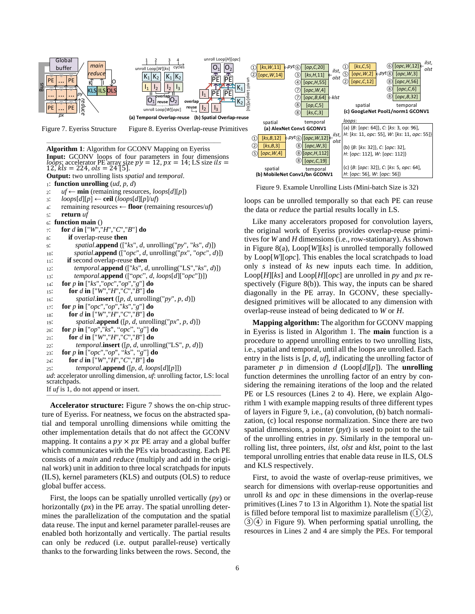

Figure 9. Example Unrolling Lists (Mini-batch Size is 32)

loops can be unrolled temporally so that each PE can reuse the data or *reduce* the partial results locally in LS.

Like many accelerators proposed for convolution layers, the original work of Eyeriss provides overlap-reuse primitives for *W* and *H* dimensions (i.e., row-stationary). As shown in Figure 8(a), Loop[*W*][*ks*] is unrolled temporally followed by Loop[*W*][*opc*]. This enables the local scratchpads to load only *s* instead of *ks* new inputs each time. In addition, Loop[*H*][*ks*] and Loop[*H*][*opc*] are unrolled in *py* and *px* respectively (Figure 8(b)). This way, the inputs can be shared diagonally in the PE array. In GCONV, these speciallydesigned primitives will be allocated to any dimension with overlap-reuse instead of being dedicated to *W* or *H*.

**Mapping algorithm:** The algorithm for GCONV mapping in Eyeriss is listed in Algorithm 1. The **main** function is a procedure to append unrolling entries to two unrolling lists, i.e., spatial and temporal, until all the loops are unrolled. Each entry in the lists is [*p*, *d*, *uf*], indicating the unrolling factor of parameter  $p$  in dimension  $d$  (Loop[ $d$ ][ $p$ ]). The **unrolling** function determines the unrolling factor of an entry by considering the remaining iterations of the loop and the related PE or LS resources (Lines 2 to 4). Here, we explain Algorithm 1 with example mapping results of three different types of layers in Figure 9, i.e., (a) convolution, (b) batch normalization, (c) local response normalization. Since there are two spatial dimensions, a pointer (*pyt*) is used to point to the tail of the unrolling entries in *py*. Similarly in the temporal unrolling list, three pointers, *ilst*, *olst* and *klst*, point to the last temporal unrolling entries that enable data reuse in ILS, OLS and KLS respectively.

First, to avoid the waste of overlap-reuse primitives, we search for dimensions with overlap-reuse opportunities and unroll *ks* and *opc* in these dimensions in the overlap-reuse primitives (Lines 7 to 13 in Algorithm 1). Note the spatial list is filled before temporal list to maximize parallelism  $(1)(2)$ ,  $(3)(4)$  in Figure 9). When performing spatial unrolling, the resources in Lines 2 and 4 are simply the PEs. For temporal



**Accelerator structure:** Figure 7 shows the on-chip struc-Accelerator structure: Figure 7 shows the on-cmp structure of Eyeriss. For neatness, we focus on the abstracted spatial and temporal unrolling dimensions while omitting the other implementation details that do not affect the GCONV mapping. It contains a  $py \times px$  PE array and a global buffer which communicates with the PEs via broadcasting. Each PE consists of a *main* and *reduce* (multiply and add in the original work) unit in addition to three local scratchpads for inputs (ILS), kernel parameters (KLS) and outputs (OLS) to reduce global buffer access.

First, the loops can be spatially unrolled vertically (*py*) or horizontally (*px*) in the PE array. The spatial unrolling determines the parallelization of the computation and the spatial data reuse. The input and kernel parameter parallel-reuses are enabled both horizontally and vertically. The partial results can only be *reduce*d (i.e. output parallel-reuse) vertically thanks to the forwarding links between the rows. Second, the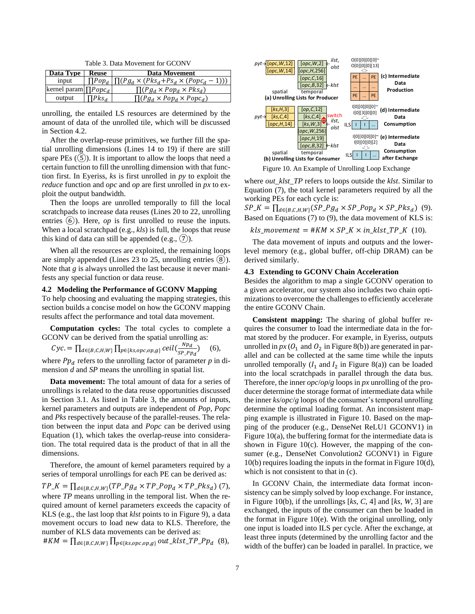Table 3. Data Movement for GCONV

| Data Type 1                 | <b>Reuse</b>  | <b>Data Movement</b>                                               |
|-----------------------------|---------------|--------------------------------------------------------------------|
| input                       |               | $\prod Pop_d   \prod (Pg_d \times (Pks_d+Ps_d \times (Popc_d-1)))$ |
| kernel param $\prod Popc_d$ |               | $\prod (P g_d \times Pop_d \times P k s_d)$                        |
| output                      | $\Pi P k s_d$ | $\prod (P g_d \times Pop_d \times Pop_{d})$                        |

unrolling, the entailed LS resources are determined by the amount of data of the unrolled tile, which will be discussed in Section 4.2.

After the overlap-reuse primitives, we further fill the spatial unrolling dimensions (Lines 14 to 19) if there are still spare PEs  $(5)$ . It is important to allow the loops that need a certain function to fill the unrolling dimension with that function first. In Eyeriss, *ks* is first unrolled in *py* to exploit the *reduce* function and *opc* and *op* are first unrolled in *px* to exploit the output bandwidth.

Then the loops are unrolled temporally to fill the local scratchpads to increase data reuses (Lines 20 to 22, unrolling entries (6)). Here, *op* is first unrolled to reuse the inputs. When a local scratchpad (e.g., *kls*) is full, the loops that reuse this kind of data can still be appended (e.g.,  $(7)$ ).

When all the resources are exploited, the remaining loops are simply appended (Lines  $23$  to  $25$ , unrolling entries  $(8)$ ). Note that *g* is always unrolled the last because it never manifests any special function or data reuse.

#### **4.2 Modeling the Performance of GCONV Mapping**

To help choosing and evaluating the mapping strategies, this section builds a concise model on how the GCONV mapping results affect the performance and total data movement.

**Computation cycles:** The total cycles to complete a GCONV can be derived from the spatial unrolling as:

$$
Cyc = \prod_{d \in \{B, C, H, W\}} \prod_{p \in \{ks, opc, op, g\}} \text{ceil}(\frac{Np_d}{SP\_Ppq}) \quad (6),
$$
  
where  $Pp_d$  refers to the unrolling factor of parameter p in di-

mension *d* and *SP* means the unrolling in spatial list.

**Data movement:** The total amount of data for a series of unrollings is related to the data reuse opportunities discussed in Section 3.1. As listed in Table 3, the amounts of inputs, kernel parameters and outputs are independent of *Pop*, *Popc* and *Pks* respectively because of the parallel-reuses. The relation between the input data and *Popc* can be derived using Equation (1), which takes the overlap-reuse into consideration. The total required data is the product of that in all the dimensions.

Therefore, the amount of kernel parameters required by a series of temporal unrollings for each PE can be derived as:

 $TP\_K = \prod_{d \in \{B,C,H,W\}} (TP\_Pg_d \times TP\_Pop_d \times TP\_Pks_d)$  (7), where *TP* means unrolling in the temporal list. When the required amount of kernel parameters exceeds the capacity of KLS (e.g., the last loop that *klst* points to in Figure 9), a data movement occurs to load new data to KLS. Therefore, the number of KLS data movements can be derived as:

$$
\#KM = \prod_{d \in \{B,C,H,W\}} \prod_{p \in \{ks, opc, op,g\}} out\_klst\_TP\_Pp_d
$$
 (8),



Figure 10. An Example of Unrolling Loop Exchange

where *out\_klst\_TP* refers to loops outside the *klst*. Similar to Equation (7), the total kernel parameters required by all the working PEs for each cycle is:

 $SP_{\perp}K = \prod_{d \in \{B,C,H,W\}} (SP_{\perp}Pg_d \times SP_{\perp}Pop_d \times SP_{\perp}Pks_d)$  (9). Based on Equations (7) to (9), the data movement of KLS is:

 $kls\_movement = #KM \times SP_K \times in_klst\_TP_K$  (10).

The data movement of inputs and outputs and the lowerlevel memory (e.g., global buffer, off-chip DRAM) can be derived similarly.

#### **4.3 Extending to GCONV Chain Acceleration**

Besides the algorithm to map a single GCONV operation to a given accelerator, our system also includes two chain optimizations to overcome the challenges to efficiently accelerate the entire GCONV Chain.

**Consistent mapping:** The sharing of global buffer requires the consumer to load the intermediate data in the format stored by the producer. For example, in Eyeriss, outputs unrolled in  $px$  ( $O_1$  and  $O_2$  in Figure 8(b)) are generated in parallel and can be collected at the same time while the inputs unrolled temporally  $(I_1 \text{ and } I_2 \text{ in Figure 8(a)})$  can be loaded into the local scratchpads in parallel through the data bus. Therefore, the inner *opc*/*op*/*g* loops in *px* unrolling of the producer determine the storage format of intermediate data while the inner *ks*/*opc*/*g* loops of the consumer's temporal unrolling determine the optimal loading format. An inconsistent mapping example is illustrated in Figure 10. Based on the mapping of the producer (e.g., DenseNet ReLU1 GCONV1) in Figure 10(a), the buffering format for the intermediate data is shown in Figure  $10(c)$ . However, the mapping of the consumer (e.g., DenseNet Convolution2 GCONV1) in Figure 10(b) requires loading the inputs in the format in Figure 10(d), which is not consistent to that in (c).

In GCONV Chain, the intermediate data format inconsistency can be simply solved by loop exchange. For instance, in Figure 10(b), if the unrollings [*ks*, *C*, 4] and [*ks*, *W*, 3] are exchanged, the inputs of the consumer can then be loaded in the format in Figure 10(e). With the original unrolling, only one input is loaded into ILS per cycle. After the exchange, at least three inputs (determined by the unrolling factor and the width of the buffer) can be loaded in parallel. In practice, we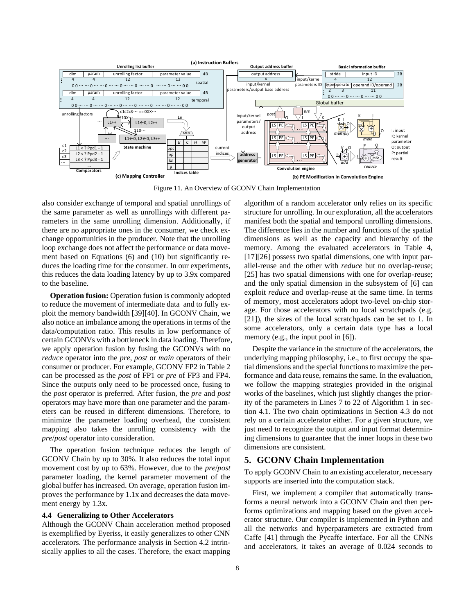

Figure 11. An Overview of GCONV Chain Implementation

also consider exchange of temporal and spatial unrollings of the same parameter as well as unrollings with different parameters in the same unrolling dimension. Additionally, if there are no appropriate ones in the consumer, we check exchange opportunities in the producer. Note that the unrolling loop exchange does not affect the performance or data movement based on Equations (6) and (10) but significantly reduces the loading time for the consumer. In our experiments, this reduces the data loading latency by up to 3.9x compared to the baseline.

**Operation fusion:** Operation fusion is commonly adopted to reduce the movement of intermediate data and to fully exploit the memory bandwidth [39][40]. In GCONV Chain, we also notice an imbalance among the operations in terms of the data/computation ratio. This results in low performance of certain GCONVs with a bottleneck in data loading. Therefore, we apply operation fusion by fusing the GCONVs with no *reduce* operator into the *pre*, *post* or *main* operators of their consumer or producer. For example, GCONV FP2 in Table 2 can be processed as the *post* of FP1 or *pre* of FP3 and FP4. Since the outputs only need to be processed once, fusing to the *post* operator is preferred. After fusion, the *pre* and *post* operators may have more than one parameter and the parameters can be reused in different dimensions. Therefore, to minimize the parameter loading overhead, the consistent mapping also takes the unrolling consistency with the *pre*/*post* operator into consideration.

The operation fusion technique reduces the length of GCONV Chain by up to 30%. It also reduces the total input movement cost by up to 63%. However, due to the *pre*/*post* parameter loading, the kernel parameter movement of the global buffer has increased. On average, operation fusion improves the performance by 1.1x and decreases the data movement energy by 1.3x.

#### **4.4 Generalizing to Other Accelerators**

Although the GCONV Chain acceleration method proposed is exemplified by Eyeriss, it easily generalizes to other CNN accelerators. The performance analysis in Section 4.2 intrinsically applies to all the cases. Therefore, the exact mapping algorithm of a random accelerator only relies on its specific structure for unrolling. In our exploration, all the accelerators manifest both the spatial and temporal unrolling dimensions. The difference lies in the number and functions of the spatial dimensions as well as the capacity and hierarchy of the memory. Among the evaluated accelerators in Table 4, [17][26] possess two spatial dimensions, one with input parallel-reuse and the other with *reduce* but no overlap-reuse; [25] has two spatial dimensions with one for overlap-reuse; and the only spatial dimension in the subsystem of [6] can exploit *reduce* and overlap-reuse at the same time. In terms of memory, most accelerators adopt two-level on-chip storage. For those accelerators with no local scratchpads (e.g. [21]), the sizes of the local scratchpads can be set to 1. In some accelerators, only a certain data type has a local memory (e.g., the input pool in [6]).

Despite the variance in the structure of the accelerators, the underlying mapping philosophy, i.e., to first occupy the spatial dimensions and the special functions to maximize the performance and data reuse, remains the same. In the evaluation, we follow the mapping strategies provided in the original works of the baselines, which just slightly changes the priority of the parameters in Lines 7 to 22 of Algorithm 1 in section 4.1. The two chain optimizations in Section 4.3 do not rely on a certain accelerator either. For a given structure, we just need to recognize the output and input format determining dimensions to guarantee that the inner loops in these two dimensions are consistent.

# **5. GCONV Chain Implementation**

To apply GCONV Chain to an existing accelerator, necessary supports are inserted into the computation stack.

First, we implement a compiler that automatically transforms a neural network into a GCONV Chain and then performs optimizations and mapping based on the given accelerator structure. Our compiler is implemented in Python and all the networks and hyperparameters are extracted from Caffe [41] through the Pycaffe interface. For all the CNNs and accelerators, it takes an average of 0.024 seconds to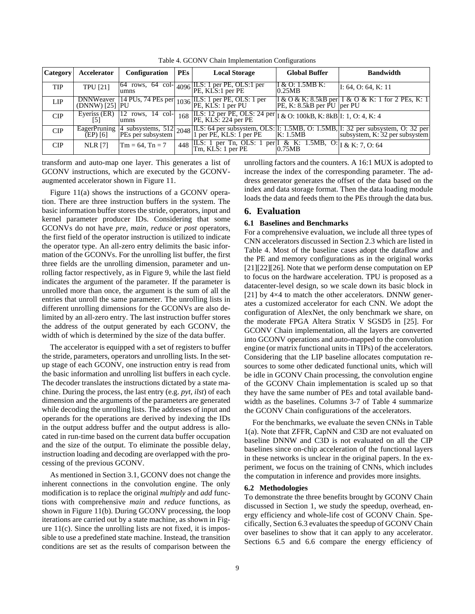| <b>Category</b> | Accelerator                        | Configuration                | <b>PEs</b> | <b>Local Storage</b>                                                                                                                    | <b>Global Buffer</b>        | <b>Bandwidth</b>                                                                                                                                                                      |
|-----------------|------------------------------------|------------------------------|------------|-----------------------------------------------------------------------------------------------------------------------------------------|-----------------------------|---------------------------------------------------------------------------------------------------------------------------------------------------------------------------------------|
| <b>TIP</b>      | <b>TPU</b> [21]                    |                              |            | $\begin{bmatrix} 64 & \text{rows} & 64 & \text{col} \\ \text{ums} & 4096 & \text{PE} & \text{KLS:1 per PE} \end{bmatrix}$ PE, OLS:1 per | I & O: $1.5MBK$ :<br>0.25MB | I: 64, O: 64, K: 11                                                                                                                                                                   |
| <b>LIP</b>      | <b>DNNWeaver</b><br>(DNNW) [25] PU |                              |            | $\frac{114 \text{ PUs}, 74 \text{ PEs per}}{1036 \text{ P.E}, \text{ KLS}: 1 \text{ per PL}}$<br>PU                                     | PE, K: 8.5kB per PU per PU  | I & O & K: 8.5 kB per I & O & K: 1 for 2 PEs, K: 1                                                                                                                                    |
| CIP             | Eyeriss (ER)<br>151                | $12$ rows, $14$ col-<br>umns | 168        | ILS: 12 per PE, OLS: 24 per I & O: 100kB, K: 8kB I: 1, O: 4, K: 4<br>PE, KLS: 224 per PE                                                |                             |                                                                                                                                                                                       |
| CIP             |                                    |                              |            |                                                                                                                                         |                             | EagerPruning 4 subsystems, 512 2048 ILS: 64 per subsystem, OLS: II: 1.5MB, O: 1.5MB, II: 32 per subsystem, O: 32 per (EP) [6] PEs per subsystem 2048 I per PE, KLS: 1 per PE K: 1.5MB |
| <b>CIP</b>      | <b>NLR [7]</b>                     | $Tm = 64$ , $Tn = 7$         | 448        | ILS: 1 per Tn, OLS: 1 per $\frac{1}{2}$ & K: 1.5MB, O: $\frac{1}{2}$ & K: 7, 0:64<br>Tm, KLS: 1 per PE                                  | 0.75MB                      |                                                                                                                                                                                       |

Table 4. GCONV Chain Implementation Configurations

transform and auto-map one layer. This generates a list of GCONV instructions, which are executed by the GCONVaugmented accelerator shown in Figure 11.

Figure 11(a) shows the instructions of a GCONV operation. There are three instruction buffers in the system. The basic information buffer stores the stride, operators, input and kernel parameter producer IDs. Considering that some GCONVs do not have *pre*, *main*, *reduce* or *post* operators, the first field of the operator instruction is utilized to indicate the operator type. An all-zero entry delimits the basic information of the GCONVs. For the unrolling list buffer, the first three fields are the unrolling dimension, parameter and unrolling factor respectively, as in Figure 9, while the last field indicates the argument of the parameter. If the parameter is unrolled more than once, the argument is the sum of all the entries that unroll the same parameter. The unrolling lists in different unrolling dimensions for the GCONVs are also delimited by an all-zero entry. The last instruction buffer stores the address of the output generated by each GCONV, the width of which is determined by the size of the data buffer.

The accelerator is equipped with a set of registers to buffer the stride, parameters, operators and unrolling lists. In the setup stage of each GCONV, one instruction entry is read from the basic information and unrolling list buffers in each cycle. The decoder translates the instructions dictated by a state machine. During the process, the last entry (e.g. *pyt*, *ilst*) of each dimension and the arguments of the parameters are generated while decoding the unrolling lists. The addresses of input and operands for the operations are derived by indexing the IDs in the output address buffer and the output address is allocated in run-time based on the current data buffer occupation and the size of the output. To eliminate the possible delay, instruction loading and decoding are overlapped with the processing of the previous GCONV.

As mentioned in Section 3.1, GCONV does not change the inherent connections in the convolution engine. The only modification is to replace the original *multiply* and *add* functions with comprehensive *main* and *reduce* functions, as shown in Figure 11(b). During GCONV processing, the loop iterations are carried out by a state machine, as shown in Figure 11(c). Since the unrolling lists are not fixed, it is impossible to use a predefined state machine. Instead, the transition conditions are set as the results of comparison between the unrolling factors and the counters. A 16:1 MUX is adopted to increase the index of the corresponding parameter. The address generator generates the offset of the data based on the index and data storage format. Then the data loading module loads the data and feeds them to the PEs through the data bus.

# **6. Evaluation**

#### **6.1 Baselines and Benchmarks**

For a comprehensive evaluation, we include all three types of CNN accelerators discussed in Section 2.3 which are listed in Table 4. Most of the baseline cases adopt the dataflow and the PE and memory configurations as in the original works [21][22][26]. Note that we perform dense computation on EP to focus on the hardware acceleration. TPU is proposed as a datacenter-level design, so we scale down its basic block in [21] by  $4\times4$  to match the other accelerators. DNNW generates a customized accelerator for each CNN. We adopt the configuration of AlexNet, the only benchmark we share, on the moderate FPGA Altera Stratix V SGSD5 in [25]. For GCONV Chain implementation, all the layers are converted into GCONV operations and auto-mapped to the convolution engine (or matrix functional units in TIPs) of the accelerators. Considering that the LIP baseline allocates computation resources to some other dedicated functional units, which will be idle in GCONV Chain processing, the convolution engine of the GCONV Chain implementation is scaled up so that they have the same number of PEs and total available bandwidth as the baselines. Columns 3-7 of Table 4 summarize the GCONV Chain configurations of the accelerators.

For the benchmarks, we evaluate the seven CNNs in Table 1(a). Note that ZFFR, CapNN and C3D are not evaluated on baseline DNNW and C3D is not evaluated on all the CIP baselines since on-chip acceleration of the functional layers in these networks is unclear in the original papers. In the experiment, we focus on the training of CNNs, which includes the computation in inference and provides more insights.

#### **6.2 Methodologies**

To demonstrate the three benefits brought by GCONV Chain discussed in Section 1, we study the speedup, overhead, energy efficiency and whole-life cost of GCONV Chain. Specifically, Section 6.3 evaluates the speedup of GCONV Chain over baselines to show that it can apply to any accelerator. Sections 6.5 and 6.6 compare the energy efficiency of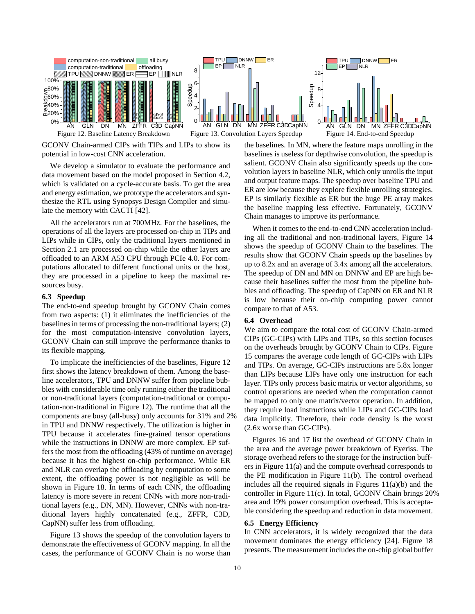

GCONV Chain-armed CIPs with TIPs and LIPs to show its potential in low-cost CNN acceleration.

We develop a simulator to evaluate the performance and data movement based on the model proposed in Section 4.2, which is validated on a cycle-accurate basis. To get the area and energy estimation, we prototype the accelerators and synthesize the RTL using Synopsys Design Compiler and simulate the memory with CACTI [42].

All the accelerators run at 700MHz. For the baselines, the operations of all the layers are processed on-chip in TIPs and LIPs while in CIPs, only the traditional layers mentioned in Section 2.1 are processed on-chip while the other layers are offloaded to an ARM A53 CPU through PCIe 4.0. For computations allocated to different functional units or the host, they are processed in a pipeline to keep the maximal resources busy.

#### **6.3 Speedup**

The end-to-end speedup brought by GCONV Chain comes from two aspects: (1) it eliminates the inefficiencies of the baselines in terms of processing the non-traditional layers; (2) for the most computation-intensive convolution layers, GCONV Chain can still improve the performance thanks to its flexible mapping.

To implicate the inefficiencies of the baselines, Figure 12 first shows the latency breakdown of them. Among the baseline accelerators, TPU and DNNW suffer from pipeline bubbles with considerable time only running either the traditional or non-traditional layers (computation-traditional or computation-non-traditional in Figure 12). The runtime that all the components are busy (all-busy) only accounts for 31% and 2% in TPU and DNNW respectively. The utilization is higher in TPU because it accelerates fine-grained tensor operations while the instructions in DNNW are more complex. EP suffers the most from the offloading (43% of runtime on average) because it has the highest on-chip performance. While ER and NLR can overlap the offloading by computation to some extent, the offloading power is not negligible as will be shown in Figure 18. In terms of each CNN, the offloading latency is more severe in recent CNNs with more non-traditional layers (e.g., DN, MN). However, CNNs with non-traditional layers highly concatenated (e.g., ZFFR, C3D, CapNN) suffer less from offloading.

Figure 13 shows the speedup of the convolution layers to demonstrate the effectiveness of GCONV mapping. In all the cases, the performance of GCONV Chain is no worse than the baselines. In MN, where the feature maps unrolling in the baselines is useless for depthwise convolution, the speedup is salient. GCONV Chain also significantly speeds up the convolution layers in baseline NLR, which only unrolls the input and output feature maps. The speedup over baseline TPU and ER are low because they explore flexible unrolling strategies. EP is similarly flexible as ER but the huge PE array makes the baseline mapping less effective. Fortunately, GCONV Chain manages to improve its performance.

When it comes to the end-to-end CNN acceleration including all the traditional and non-traditional layers, Figure 14 shows the speedup of GCONV Chain to the baselines. The results show that GCONV Chain speeds up the baselines by up to 8.2x and an average of 3.4x among all the accelerators. The speedup of DN and MN on DNNW and EP are high because their baselines suffer the most from the pipeline bubbles and offloading. The speedup of CapNN on ER and NLR is low because their on-chip computing power cannot compare to that of A53.

#### **6.4 Overhead**

We aim to compare the total cost of GCONV Chain-armed CIPs (GC-CIPs) with LIPs and TIPs, so this section focuses on the overheads brought by GCONV Chain to CIPs. Figure 15 compares the average code length of GC-CIPs with LIPs and TIPs. On average, GC-CIPs instructions are 5.8x longer than LIPs because LIPs have only one instruction for each layer. TIPs only process basic matrix or vector algorithms, so control operations are needed when the computation cannot be mapped to only one matrix/vector operation. In addition, they require load instructions while LIPs and GC-CIPs load data implicitly. Therefore, their code density is the worst (2.6x worse than GC-CIPs).

Figures 16 and 17 list the overhead of GCONV Chain in the area and the average power breakdown of Eyeriss. The storage overhead refers to the storage for the instruction buffers in Figure 11(a) and the compute overhead corresponds to the PE modification in Figure 11(b). The control overhead includes all the required signals in Figures  $11(a)(b)$  and the controller in Figure 11(c). In total, GCONV Chain brings 20% area and 19% power consumption overhead. This is acceptable considering the speedup and reduction in data movement.

# **6.5 Energy Efficiency**

In CNN accelerators, it is widely recognized that the data movement dominates the energy efficiency [24]. Figure 18 presents. The measurement includes the on-chip global buffer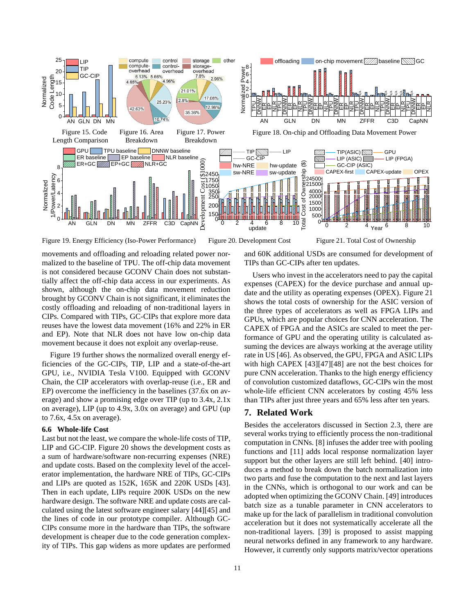

Figure 19. Energy Efficiency (Iso-Power Performance) Figure 20. Development Cost Figure 21. Total Cost of Ownership

movements and offloading and reloading related power normalized to the baseline of TPU. The off-chip data movement is not considered because GCONV Chain does not substantially affect the off-chip data access in our experiments. As shown, although the on-chip data movement reduction brought by GCONV Chain is not significant, it eliminates the costly offloading and reloading of non-traditional layers in CIPs. Compared with TIPs, GC-CIPs that explore more data reuses have the lowest data movement (16% and 22% in ER and EP). Note that NLR does not have low on-chip data movement because it does not exploit any overlap-reuse.

Figure 19 further shows the normalized overall energy efficiencies of the GC-CIPs, TIP, LIP and a state-of-the-art GPU, i.e., NVIDIA Tesla V100. Equipped with GCONV Chain, the CIP accelerators with overlap-reuse (i.e., ER and EP) overcome the inefficiency in the baselines (37.6x on average) and show a promising edge over TIP (up to 3.4x, 2.1x on average), LIP (up to 4.9x, 3.0x on average) and GPU (up to 7.6x, 4.5x on average).

# **6.6 Whole-life Cost**

Last but not the least, we compare the whole-life costs of TIP, LIP and GC-CIP. Figure 20 shows the development costs as a sum of hardware/software non-recurring expenses (NRE) and update costs. Based on the complexity level of the accelerator implementation, the hardware NRE of TIPs, GC-CIPs and LIPs are quoted as 152K, 165K and 220K USDs [43]. Then in each update, LIPs require 200K USDs on the new hardware design. The software NRE and update costs are calculated using the latest software engineer salary [44][45] and the lines of code in our prototype compiler. Although GC-CIPs consume more in the hardware than TIPs, the software development is cheaper due to the code generation complexity of TIPs. This gap widens as more updates are performed and 60K additional USDs are consumed for development of TIPs than GC-CIPs after ten updates.

Users who invest in the accelerators need to pay the capital expenses (CAPEX) for the device purchase and annual update and the utility as operating expenses (OPEX). Figure 21 shows the total costs of ownership for the ASIC version of the three types of accelerators as well as FPGA LIPs and GPUs, which are popular choices for CNN acceleration. The CAPEX of FPGA and the ASICs are scaled to meet the performance of GPU and the operating utility is calculated assuming the devices are always working at the average utility rate in US [46]. As observed, the GPU, FPGA and ASIC LIPs with high CAPEX [43][47][48] are not the best choices for pure CNN acceleration. Thanks to the high energy efficiency of convolution customized dataflows, GC-CIPs win the most whole-life efficient CNN accelerators by costing 45% less than TIPs after just three years and 65% less after ten years.

# **7. Related Work**

Besides the accelerators discussed in Section 2.3, there are several works trying to efficiently process the non-traditional computation in CNNs. [8] infuses the adder tree with pooling functions and [11] adds local response normalization layer support but the other layers are still left behind. [40] introduces a method to break down the batch normalization into two parts and fuse the computation to the next and last layers in the CNNs, which is orthogonal to our work and can be adopted when optimizing the GCONV Chain. [49] introduces batch size as a tunable parameter in CNN accelerators to make up for the lack of parallelism in traditional convolution acceleration but it does not systematically accelerate all the non-traditional layers. [39] is proposed to assist mapping neural networks defined in any framework to any hardware. However, it currently only supports matrix/vector operations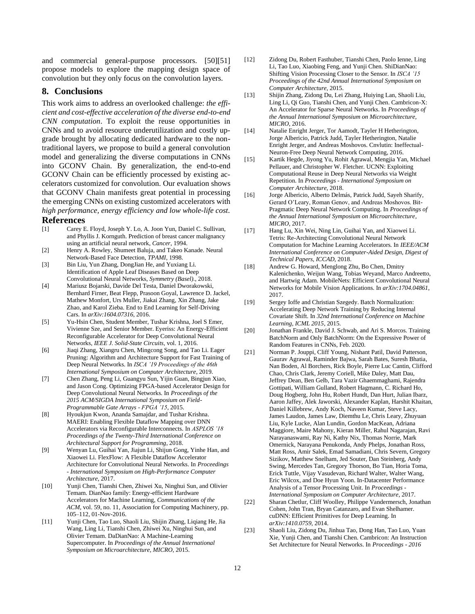and commercial general-purpose processors. [50][51] propose models to explore the mapping design space of convolution but they only focus on the convolution layers.

# **8. Conclusions**

This work aims to address an overlooked challenge: *the efficient and cost-effective acceleration of the diverse end-to-end CNN computation*. To exploit the reuse opportunities in CNNs and to avoid resource underutilization and costly upgrade brought by allocating dedicated hardware to the nontraditional layers, we propose to build a general convolution model and generalizing the diverse computations in CNNs into GCONV Chain. By generalization, the end-to-end GCONV Chain can be efficiently processed by existing accelerators customized for convolution. Our evaluation shows that GCONV Chain manifests great potential in processing the emerging CNNs on existing customized accelerators with *high performance, energy efficiency and low whole-life cost*.

#### **References**

- [1] Carey E. Floyd, Joseph Y. Lo, A. Joon Yun, Daniel C. Sullivan, and Phyllis J. Kornguth. Prediction of breast cancer malignancy using an artificial neural network, *Cancer*, 1994.
- [2] Henry A. Rowley, Shumeet Baluja, and Takeo Kanade. Neural Network-Based Face Detection, *TPAMI*, 1998.
- [3] Bin Liu, Yun Zhang, DongJian He, and Yuxiang Li. Identification of Apple Leaf Diseases Based on Deep Convolutional Neural Networks, *Symmetry (Basel).*, 2018.
- [4] Mariusz Bojarski, Davide Del Testa, Daniel Dworakowski, Bernhard Firner, Beat Flepp, Prasoon Goyal, Lawrence D. Jackel, Mathew Monfort, Urs Muller, Jiakai Zhang, Xin Zhang, Jake Zhao, and Karol Zieba. End to End Learning for Self-Driving Cars. In *arXiv:1604.07316*, 2016.
- [5] Yu-Hsin Chen, Student Member, Tushar Krishna, Joel S Emer, Vivienne Sze, and Senior Member. Eyeriss: An Energy-Efficient Reconfigurable Accelerator for Deep Convolutional Neural Networks, *IEEE J. Solid-State Circuits*, vol. 1, 2016.
- [6] Jiaqi Zhang, Xiangru Chen, Mingcong Song, and Tao Li. Eager Pruning: Algorithm and Architecture Support for Fast Training of Deep Neural Networks. In *ISCA '19 Proceedings of the 46th International Symposium on Computer Architecture*, 2019.
- [7] Chen Zhang, Peng Li, Guangyu Sun, Yijin Guan, Bingjun Xiao, and Jason Cong. Optimizing FPGA-based Accelerator Design for Deep Convolutional Neural Networks. In *Proceedings of the 2015 ACM/SIGDA International Symposium on Field-Programmable Gate Arrays - FPGA '15*, 2015.
- [8] Hyoukjun Kwon, Ananda Samajdar, and Tushar Krishna. MAERI: Enabling Flexible Dataflow Mapping over DNN Accelerators via Reconfigurable Interconnects. In *ASPLOS '18 Proceedings of the Twenty-Third International Conference on Architectural Support for Programming*, 2018.
- [9] Wenyan Lu, Guihai Yan, Jiajun Li, Shijun Gong, Yinhe Han, and Xiaowei Li. FlexFlow: A Flexible Dataflow Accelerator Architecture for Convolutional Neural Networks. In *Proceedings - International Symposium on High-Performance Computer Architecture*, 2017.
- [10] Yunji Chen, Tianshi Chen, Zhiwei Xu, Ninghui Sun, and Olivier Temam. DianNao family: Energy-efficient Hardware Accelerators for Machine Learning, *Communications of the ACM*, vol. 59, no. 11, Association for Computing Machinery, pp. 105–112, 01-Nov-2016.
- [11] Yunji Chen, Tao Luo, Shaoli Liu, Shijin Zhang, Liqiang He, Jia Wang, Ling Li, Tianshi Chen, Zhiwei Xu, Ninghui Sun, and Olivier Temam. DaDianNao: A Machine-Learning Supercomputer. In *Proceedings of the Annual International Symposium on Microarchitecture, MICRO*, 2015.
- [12] Zidong Du, Robert Fasthuber, Tianshi Chen, Paolo Ienne, Ling Li, Tao Luo, Xiaobing Feng, and Yunji Chen. ShiDianNao: Shifting Vision Processing Closer to the Sensor. In *ISCA '15 Proceedings of the 42nd Annual International Symposium on Computer Architecture*, 2015.
- [13] Shijin Zhang, Zidong Du, Lei Zhang, Huiying Lan, Shaoli Liu, Ling Li, Qi Guo, Tianshi Chen, and Yunji Chen. Cambricon-X: An Accelerator for Sparse Neural Networks. In *Proceedings of the Annual International Symposium on Microarchitecture, MICRO*, 2016.
- [14] Natalie Enright Jerger, Tor Aamodt, Tayler H Hetherington, Jorge Albericio, Patrick Judd, Tayler Hetherington, Natalie Enright Jerger, and Andreas Moshovos. Cnvlutin: Ineffectual-Neuron-Free Deep Neural Network Computing, 2016.
- [15] Kartik Hegde, Jiyong Yu, Rohit Agrawal, Mengjia Yan, Michael Pellauer, and Christopher W. Fletcher. UCNN: Exploiting Computational Reuse in Deep Neural Networks via Weight Repetition. In *Proceedings - International Symposium on Computer Architecture*, 2018.
- [16] Jorge Albericio, Alberto Delmás, Patrick Judd, Sayeh Sharify, Gerard O'Leary, Roman Genov, and Andreas Moshovos. Bit-Pragmatic Deep Neural Network Computing. In *Proceedings of the Annual International Symposium on Microarchitecture, MICRO*, 2017.
- [17] Hang Lu, Xin Wei, Ning Lin, Guihai Yan, and Xiaowei Li. Tetris: Re-Architecting Convolutional Neural Network Computation for Machine Learning Accelerators. In *IEEE/ACM International Conference on Computer-Aided Design, Digest of Technical Papers, ICCAD*, 2018.
- [18] Andrew G. Howard, Menglong Zhu, Bo Chen, Dmitry Kalenichenko, Weijun Wang, Tobias Weyand, Marco Andreetto, and Hartwig Adam. MobileNets: Efficient Convolutional Neural Networks for Mobile Vision Applications. In *arXiv:1704.04861*, 2017.
- [19] Sergey Ioffe and Christian Szegedy. Batch Normalization: Accelerating Deep Network Training by Reducing Internal Covariate Shift. In *32nd International Conference on Machine Learning, ICML 2015*, 2015.
- [20] Jonathan Frankle, David J. Schwab, and Ari S. Morcos. Training BatchNorm and Only BatchNorm: On the Expressive Power of Random Features in CNNs, Feb. 2020.
- [21] Norman P. Jouppi, Cliff Young, Nishant Patil, David Patterson, Gaurav Agrawal, Raminder Bajwa, Sarah Bates, Suresh Bhatia, Nan Boden, Al Borchers, Rick Boyle, Pierre Luc Cantin, Clifford Chao, Chris Clark, Jeremy Coriell, Mike Daley, Matt Dau, Jeffrey Dean, Ben Gelb, Tara Vazir Ghaemmaghami, Rajendra Gottipati, William Gulland, Robert Hagmann, C. Richard Ho, Doug Hogberg, John Hu, Robert Hundt, Dan Hurt, Julian Ibarz, Aaron Jaffey, Alek Jaworski, Alexander Kaplan, Harshit Khaitan, Daniel Killebrew, Andy Koch, Naveen Kumar, Steve Lacy, James Laudon, James Law, Diemthu Le, Chris Leary, Zhuyuan Liu, Kyle Lucke, Alan Lundin, Gordon MacKean, Adriana Maggiore, Maire Mahony, Kieran Miller, Rahul Nagarajan, Ravi Narayanaswami, Ray Ni, Kathy Nix, Thomas Norrie, Mark Omernick, Narayana Penukonda, Andy Phelps, Jonathan Ross, Matt Ross, Amir Salek, Emad Samadiani, Chris Severn, Gregory Sizikov, Matthew Snelham, Jed Souter, Dan Steinberg, Andy Swing, Mercedes Tan, Gregory Thorson, Bo Tian, Horia Toma, Erick Tuttle, Vijay Vasudevan, Richard Walter, Walter Wang, Eric Wilcox, and Doe Hyun Yoon. In-Datacenter Performance Analysis of a Tensor Processing Unit. In *Proceedings - International Symposium on Computer Architecture*, 2017.
- [22] Sharan Chetlur, Cliff Woolley, Philippe Vandermersch, Jonathan Cohen, John Tran, Bryan Catanzaro, and Evan Shelhamer. cuDNN: Efficient Primitives for Deep Learning. In *arXiv:1410.0759*, 2014.
- [23] Shaoli Liu, Zidong Du, Jinhua Tao, Dong Han, Tao Luo, Yuan Xie, Yunji Chen, and Tianshi Chen. Cambricon: An Instruction Set Architecture for Neural Networks. In *Proceedings - 2016*